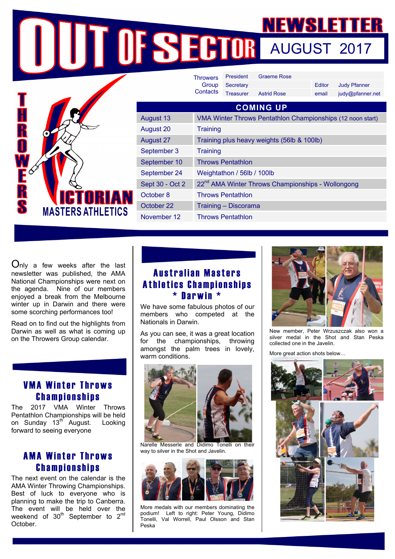**AUGUST 2017** 

|                                                       |                  | <b>Throwers</b>                                               | <b>President</b> | <b>Graeme Rose</b> |        |                     |
|-------------------------------------------------------|------------------|---------------------------------------------------------------|------------------|--------------------|--------|---------------------|
|                                                       |                  | Group                                                         | Secretary        |                    | Editor | <b>Judy Pfanner</b> |
|                                                       |                  | Contacts                                                      | <b>Treasurer</b> | <b>Astrid Rose</b> | email  | judy@pfanner.net    |
|                                                       | <b>COMING UP</b> |                                                               |                  |                    |        |                     |
|                                                       | August 13        | VMA Winter Throws Pentathlon Championships (12 noon start)    |                  |                    |        |                     |
| R                                                     | August 20        | <b>Training</b>                                               |                  |                    |        |                     |
| $\blacksquare$                                        | <b>August 27</b> | Training plus heavy weights (56lb & 100lb)                    |                  |                    |        |                     |
|                                                       | September 3      | <b>Training</b>                                               |                  |                    |        |                     |
|                                                       | September 10     | <b>Throws Pentathlon</b>                                      |                  |                    |        |                     |
|                                                       | September 24     | Weightathon / 56lb / 100lb                                    |                  |                    |        |                     |
|                                                       | Sept 30 - Oct 2  | 22 <sup>nd</sup> AMA Winter Throws Championships - Wollongong |                  |                    |        |                     |
| R<br>S<br><b>ICTORIAN</b><br><b>MASTERS ATHLETICS</b> | October 8        | <b>Throws Pentathlon</b>                                      |                  |                    |        |                     |
|                                                       | October 22       | Training - Discorama                                          |                  |                    |        |                     |
|                                                       | November 12      | <b>Throws Pentathlon</b>                                      |                  |                    |        |                     |

Only a few weeks after the last newsletter was published, the AMA National Championships were next on the agenda. Nine of our members enjoyed a break from the Melbourne winter up in Darwin and there were some scorching performances too!

Read on to find out the highlights from Darwin as well as what is coming up on the Throwers Group calendar.

## VMA Winter Throws Championships

The 2017 VMA Winter Throws Pentathlon Championships will be held on Sunday 13<sup>th</sup> August. Looking forward to seeing everyone

# AMA Winter Throws Championships

The next event on the calendar is the AMA Winter Throwing Championships. Best of luck to everyone who is planning to make the trip to Canberra. The event will be held over the weekend of  $30<sup>th</sup>$  September to  $2<sup>nd</sup>$ October.

## Australian Masters Athletics Championships \* Darwin \*

We have some fabulous photos of our members who competed at the Nationals in Darwin.

As you can see, it was a great location for the championships, throwing amongst the palm trees in lovely, warm conditions.



Narelle Messerle and Didimo Tonelli on their way to silver in the Shot and Javelin.



More medals with our members dominating the podium! Left to right: Peter Young, Didimo Tonelli, Val Worrell, Paul Olsson and Stan Peska



New member, Peter Wrzuszczak also won a silver medal in the Shot and Stan Peska collected one in the Javelin.

More great action shots below…